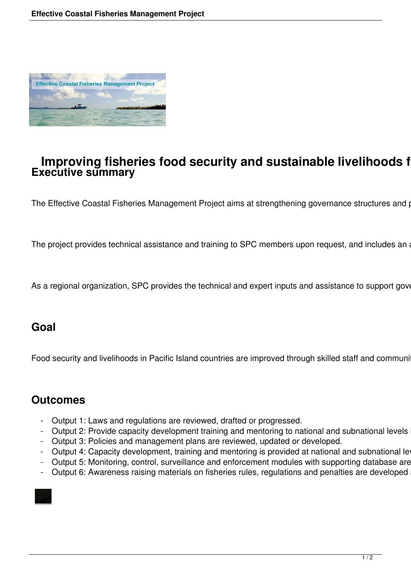

### **Improving fisheries food security and sustainable livelihoods for Pacific Island communities Executive summary**

The Effective Coastal Fisheries Management Project aims at strengthening governance structures and p

The project provides technical assistance and training to SPC members upon request, and includes an

As a regional organization, SPC provides the technical and expert inputs and assistance to support government action at the forefront of coastal fisheries and assistance to support government and action fisher and  $P$ 

### **Goal**

Food security and livelihoods in Pacific Island countries are improved through skilled staff and community robust policies and robust policies and and robust policies and and allegislation for sustainable constant final fi

### **Outcomes**

- Output 1: Laws and regulations are reviewed, drafted or progressed.
- Output 2: Provide capacity development training and mentoring to national and subnational levels
- Output 3: Policies and management plans are reviewed, updated or developed.
- Output 4: Capacity development, training and mentoring is provided at national and subnational leg
- Output 5: Monitoring, control, surveillance and enforcement modules with supporting database are
- Output 6: Awareness raising materials on fisheries rules, regulations and penalties are developed